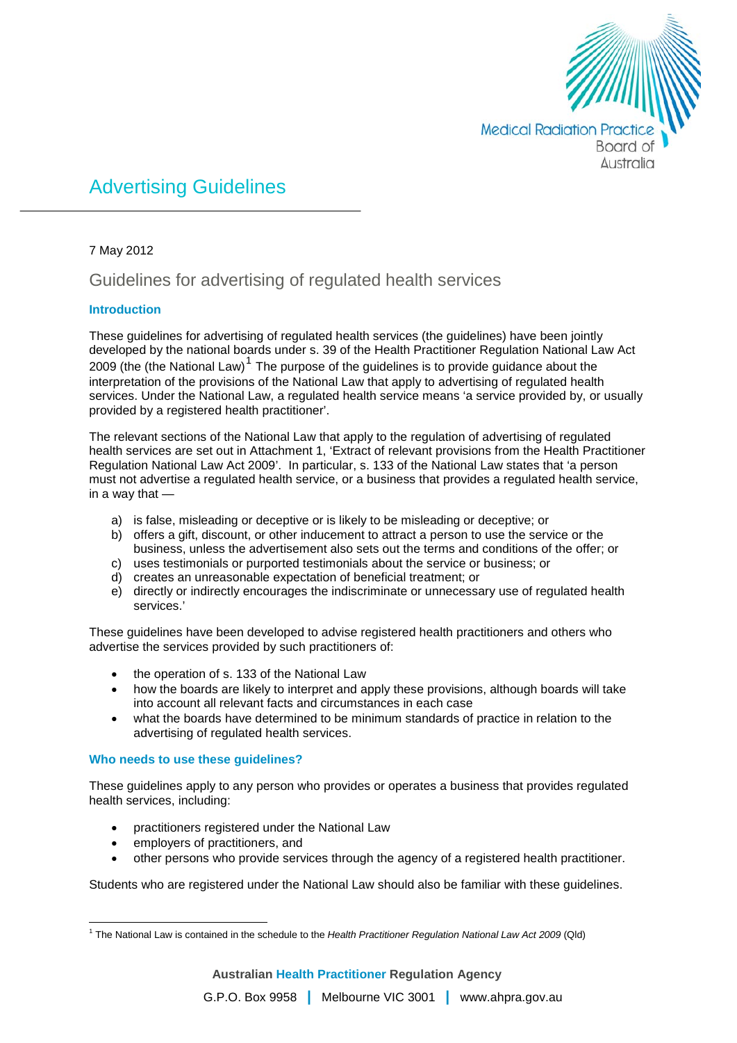

# Advertising Guidelines

#### 7 May 2012

# Guidelines for advertising of regulated health services

# **Introduction**

These guidelines for advertising of regulated health services (the guidelines) have been jointly developed by the national boards under s. 39 of the Health Practitioner Regulation National Law Act 2009 (the (the National Law)<sup>[1](#page-0-0)</sup> The purpose of the guidelines is to provide guidance about the interpretation of the provisions of the National Law that apply to advertising of regulated health services. Under the National Law, a regulated health service means 'a service provided by, or usually provided by a registered health practitioner'.

The relevant sections of the National Law that apply to the regulation of advertising of regulated health services are set out in Attachment 1, 'Extract of relevant provisions from the Health Practitioner Regulation National Law Act 2009'. In particular, s. 133 of the National Law states that 'a person must not advertise a regulated health service, or a business that provides a regulated health service, in a way that —

- a) is false, misleading or deceptive or is likely to be misleading or deceptive; or
- b) offers a gift, discount, or other inducement to attract a person to use the service or the business, unless the advertisement also sets out the terms and conditions of the offer; or
- c) uses testimonials or purported testimonials about the service or business; or
- d) creates an unreasonable expectation of beneficial treatment; or
- e) directly or indirectly encourages the indiscriminate or unnecessary use of regulated health services.'

These guidelines have been developed to advise registered health practitioners and others who advertise the services provided by such practitioners of:

- the operation of s. 133 of the National Law
- how the boards are likely to interpret and apply these provisions, although boards will take into account all relevant facts and circumstances in each case
- what the boards have determined to be minimum standards of practice in relation to the advertising of regulated health services.

#### **Who needs to use these guidelines?**

These guidelines apply to any person who provides or operates a business that provides regulated health services, including:

- practitioners registered under the National Law
- employers of practitioners, and
- other persons who provide services through the agency of a registered health practitioner.

Students who are registered under the National Law should also be familiar with these guidelines.

<span id="page-0-0"></span><sup>1</sup> The National Law is contained in the schedule to the *Health Practitioner Regulation National Law Act 2009* (Qld)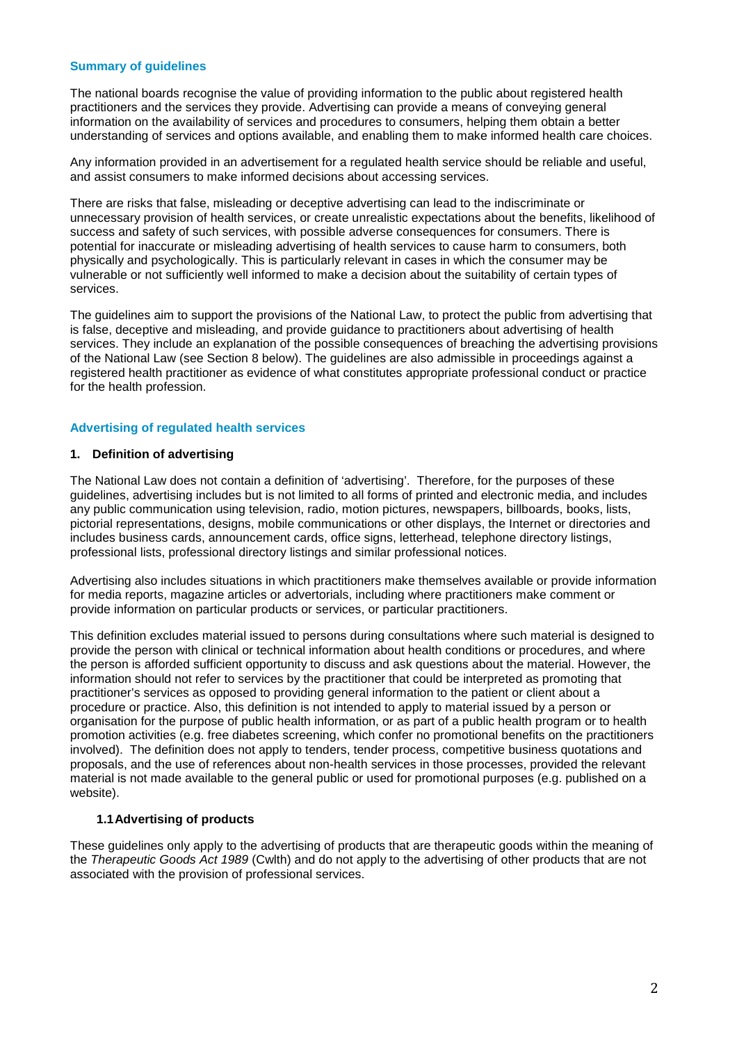#### **Summary of guidelines**

The national boards recognise the value of providing information to the public about registered health practitioners and the services they provide. Advertising can provide a means of conveying general information on the availability of services and procedures to consumers, helping them obtain a better understanding of services and options available, and enabling them to make informed health care choices.

Any information provided in an advertisement for a regulated health service should be reliable and useful, and assist consumers to make informed decisions about accessing services.

There are risks that false, misleading or deceptive advertising can lead to the indiscriminate or unnecessary provision of health services, or create unrealistic expectations about the benefits, likelihood of success and safety of such services, with possible adverse consequences for consumers. There is potential for inaccurate or misleading advertising of health services to cause harm to consumers, both physically and psychologically. This is particularly relevant in cases in which the consumer may be vulnerable or not sufficiently well informed to make a decision about the suitability of certain types of services.

The guidelines aim to support the provisions of the National Law, to protect the public from advertising that is false, deceptive and misleading, and provide guidance to practitioners about advertising of health services. They include an explanation of the possible consequences of breaching the advertising provisions of the National Law (see Section 8 below). The guidelines are also admissible in proceedings against a registered health practitioner as evidence of what constitutes appropriate professional conduct or practice for the health profession.

#### **Advertising of regulated health services**

#### **1. Definition of advertising**

The National Law does not contain a definition of 'advertising'. Therefore, for the purposes of these guidelines, advertising includes but is not limited to all forms of printed and electronic media, and includes any public communication using television, radio, motion pictures, newspapers, billboards, books, lists, pictorial representations, designs, mobile communications or other displays, the Internet or directories and includes business cards, announcement cards, office signs, letterhead, telephone directory listings, professional lists, professional directory listings and similar professional notices.

Advertising also includes situations in which practitioners make themselves available or provide information for media reports, magazine articles or advertorials, including where practitioners make comment or provide information on particular products or services, or particular practitioners.

This definition excludes material issued to persons during consultations where such material is designed to provide the person with clinical or technical information about health conditions or procedures, and where the person is afforded sufficient opportunity to discuss and ask questions about the material. However, the information should not refer to services by the practitioner that could be interpreted as promoting that practitioner's services as opposed to providing general information to the patient or client about a procedure or practice. Also, this definition is not intended to apply to material issued by a person or organisation for the purpose of public health information, or as part of a public health program or to health promotion activities (e.g. free diabetes screening, which confer no promotional benefits on the practitioners involved). The definition does not apply to tenders, tender process, competitive business quotations and proposals, and the use of references about non-health services in those processes, provided the relevant material is not made available to the general public or used for promotional purposes (e.g. published on a website).

#### **1.1Advertising of products**

These guidelines only apply to the advertising of products that are therapeutic goods within the meaning of the *Therapeutic Goods Act 1989* (Cwlth) and do not apply to the advertising of other products that are not associated with the provision of professional services.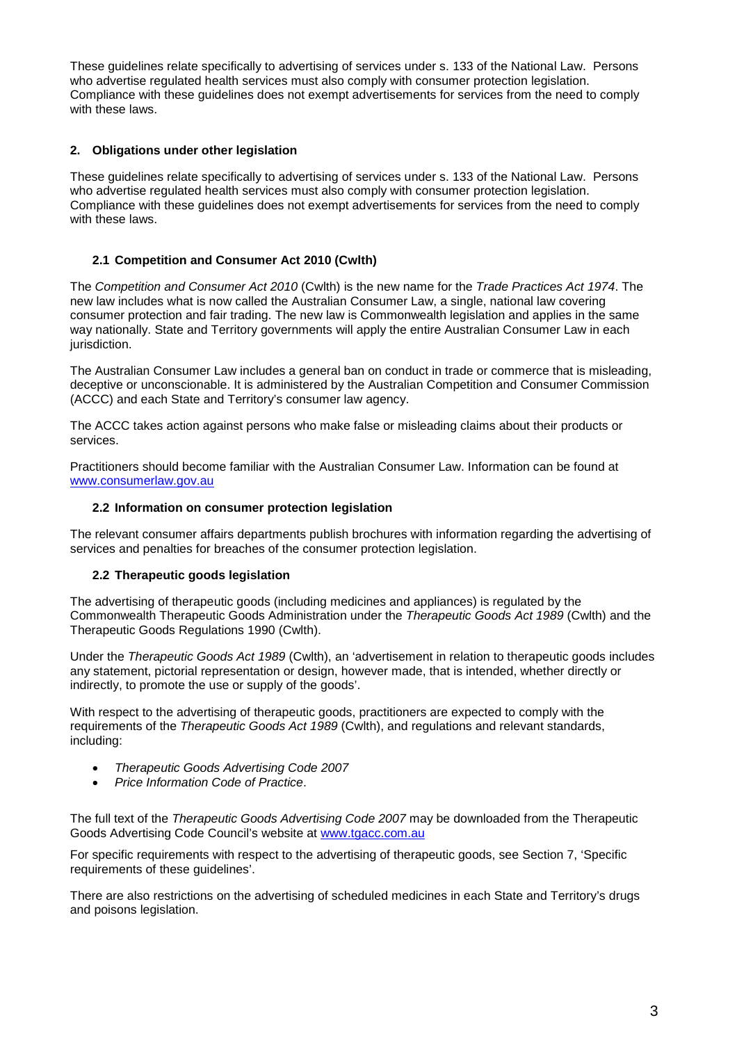These guidelines relate specifically to advertising of services under s. 133 of the National Law. Persons who advertise regulated health services must also comply with consumer protection legislation. Compliance with these guidelines does not exempt advertisements for services from the need to comply with these laws.

# **2. Obligations under other legislation**

These guidelines relate specifically to advertising of services under s. 133 of the National Law. Persons who advertise regulated health services must also comply with consumer protection legislation. Compliance with these guidelines does not exempt advertisements for services from the need to comply with these laws.

# **2.1 Competition and Consumer Act 2010 (Cwlth)**

The *Competition and Consumer Act 2010* (Cwlth) is the new name for the *Trade Practices Act 1974*. The new law includes what is now called the Australian Consumer Law, a single, national law covering consumer protection and fair trading. The new law is Commonwealth legislation and applies in the same way nationally. State and Territory governments will apply the entire Australian Consumer Law in each jurisdiction.

The Australian Consumer Law includes a general ban on conduct in trade or commerce that is misleading, deceptive or unconscionable. It is administered by the Australian Competition and Consumer Commission (ACCC) and each State and Territory's consumer law agency.

The ACCC takes action against persons who make false or misleading claims about their products or services.

Practitioners should become familiar with the Australian Consumer Law. Information can be found at [www.consumerlaw.gov.au](http://www.consumerlaw.gov.au/)

#### **2.2 Information on consumer protection legislation**

The relevant consumer affairs departments publish brochures with information regarding the advertising of services and penalties for breaches of the consumer protection legislation.

#### **2.2 Therapeutic goods legislation**

The advertising of therapeutic goods (including medicines and appliances) is regulated by the Commonwealth Therapeutic Goods Administration under the *Therapeutic Goods Act 1989* (Cwlth) and the Therapeutic Goods Regulations 1990 (Cwlth).

Under the *Therapeutic Goods Act 1989* (Cwlth), an 'advertisement in relation to therapeutic goods includes any statement, pictorial representation or design, however made, that is intended, whether directly or indirectly, to promote the use or supply of the goods'.

With respect to the advertising of therapeutic goods, practitioners are expected to comply with the requirements of the *Therapeutic Goods Act 1989* (Cwlth), and regulations and relevant standards, including:

- *Therapeutic Goods Advertising Code 2007*
- *Price Information Code of Practice*.

The full text of the *Therapeutic Goods Advertising Code 2007* may be downloaded from the Therapeutic Goods Advertising Code Council's website at [www.tgacc.com.au](http://www.tgacc.com.au/)

For specific requirements with respect to the advertising of therapeutic goods, see Section 7, 'Specific requirements of these guidelines'.

There are also restrictions on the advertising of scheduled medicines in each State and Territory's drugs and poisons legislation.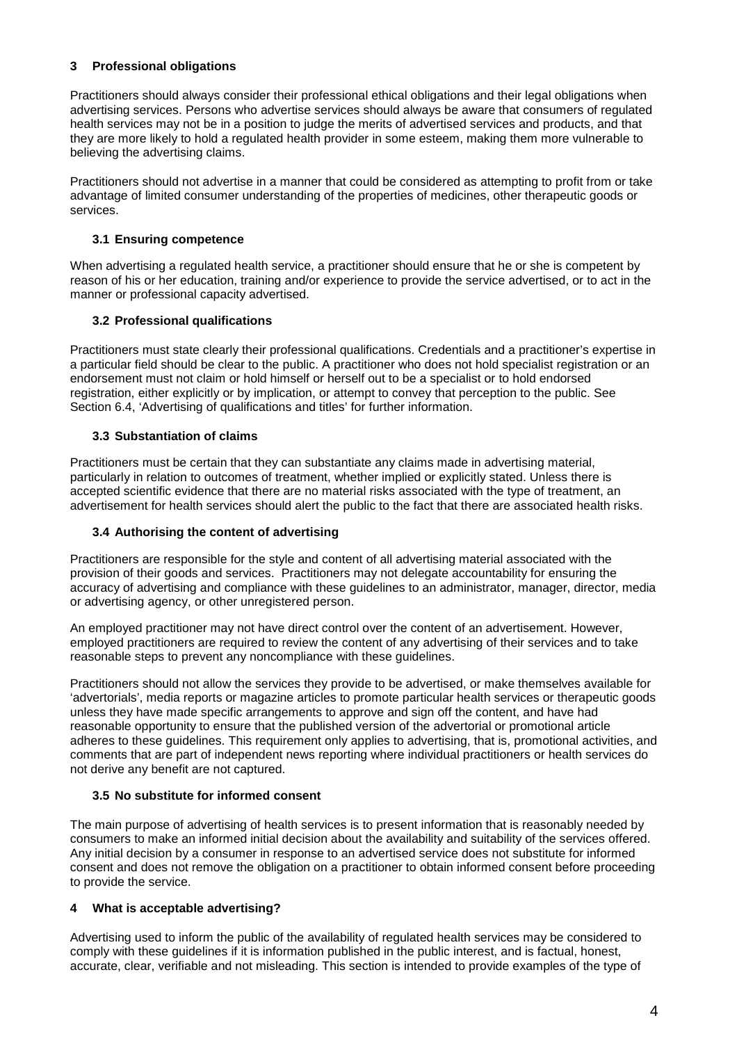# **3 Professional obligations**

Practitioners should always consider their professional ethical obligations and their legal obligations when advertising services. Persons who advertise services should always be aware that consumers of regulated health services may not be in a position to judge the merits of advertised services and products, and that they are more likely to hold a regulated health provider in some esteem, making them more vulnerable to believing the advertising claims.

Practitioners should not advertise in a manner that could be considered as attempting to profit from or take advantage of limited consumer understanding of the properties of medicines, other therapeutic goods or services.

# **3.1 Ensuring competence**

When advertising a regulated health service, a practitioner should ensure that he or she is competent by reason of his or her education, training and/or experience to provide the service advertised, or to act in the manner or professional capacity advertised.

# **3.2 Professional qualifications**

Practitioners must state clearly their professional qualifications. Credentials and a practitioner's expertise in a particular field should be clear to the public. A practitioner who does not hold specialist registration or an endorsement must not claim or hold himself or herself out to be a specialist or to hold endorsed registration, either explicitly or by implication, or attempt to convey that perception to the public. See Section 6.4, 'Advertising of qualifications and titles' for further information.

# **3.3 Substantiation of claims**

Practitioners must be certain that they can substantiate any claims made in advertising material, particularly in relation to outcomes of treatment, whether implied or explicitly stated. Unless there is accepted scientific evidence that there are no material risks associated with the type of treatment, an advertisement for health services should alert the public to the fact that there are associated health risks.

# **3.4 Authorising the content of advertising**

Practitioners are responsible for the style and content of all advertising material associated with the provision of their goods and services. Practitioners may not delegate accountability for ensuring the accuracy of advertising and compliance with these guidelines to an administrator, manager, director, media or advertising agency, or other unregistered person.

An employed practitioner may not have direct control over the content of an advertisement. However, employed practitioners are required to review the content of any advertising of their services and to take reasonable steps to prevent any noncompliance with these guidelines.

Practitioners should not allow the services they provide to be advertised, or make themselves available for 'advertorials', media reports or magazine articles to promote particular health services or therapeutic goods unless they have made specific arrangements to approve and sign off the content, and have had reasonable opportunity to ensure that the published version of the advertorial or promotional article adheres to these guidelines. This requirement only applies to advertising, that is, promotional activities, and comments that are part of independent news reporting where individual practitioners or health services do not derive any benefit are not captured.

#### **3.5 No substitute for informed consent**

The main purpose of advertising of health services is to present information that is reasonably needed by consumers to make an informed initial decision about the availability and suitability of the services offered. Any initial decision by a consumer in response to an advertised service does not substitute for informed consent and does not remove the obligation on a practitioner to obtain informed consent before proceeding to provide the service.

#### **4 What is acceptable advertising?**

Advertising used to inform the public of the availability of regulated health services may be considered to comply with these guidelines if it is information published in the public interest, and is factual, honest, accurate, clear, verifiable and not misleading. This section is intended to provide examples of the type of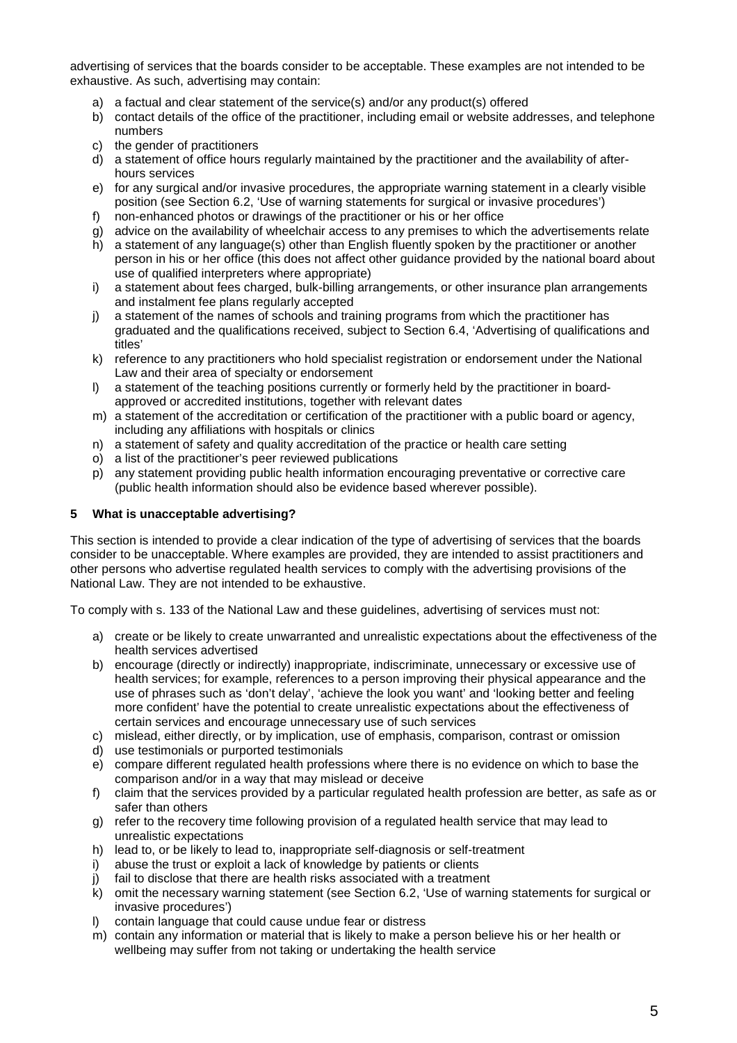advertising of services that the boards consider to be acceptable. These examples are not intended to be exhaustive. As such, advertising may contain:

- a) a factual and clear statement of the service(s) and/or any product(s) offered
- b) contact details of the office of the practitioner, including email or website addresses, and telephone numbers
- c) the gender of practitioners
- d) a statement of office hours regularly maintained by the practitioner and the availability of afterhours services
- e) for any surgical and/or invasive procedures, the appropriate warning statement in a clearly visible position (see Section 6.2, 'Use of warning statements for surgical or invasive procedures')
- f) non-enhanced photos or drawings of the practitioner or his or her office
- g) advice on the availability of wheelchair access to any premises to which the advertisements relate
- h) a statement of any language(s) other than English fluently spoken by the practitioner or another person in his or her office (this does not affect other guidance provided by the national board about use of qualified interpreters where appropriate)
- i) a statement about fees charged, bulk-billing arrangements, or other insurance plan arrangements and instalment fee plans regularly accepted
- j) a statement of the names of schools and training programs from which the practitioner has graduated and the qualifications received, subject to Section 6.4, 'Advertising of qualifications and titles'
- k) reference to any practitioners who hold specialist registration or endorsement under the National Law and their area of specialty or endorsement
- l) a statement of the teaching positions currently or formerly held by the practitioner in boardapproved or accredited institutions, together with relevant dates
- m) a statement of the accreditation or certification of the practitioner with a public board or agency, including any affiliations with hospitals or clinics
- n) a statement of safety and quality accreditation of the practice or health care setting
- o) a list of the practitioner's peer reviewed publications
- p) any statement providing public health information encouraging preventative or corrective care (public health information should also be evidence based wherever possible).

#### **5 What is unacceptable advertising?**

This section is intended to provide a clear indication of the type of advertising of services that the boards consider to be unacceptable. Where examples are provided, they are intended to assist practitioners and other persons who advertise regulated health services to comply with the advertising provisions of the National Law. They are not intended to be exhaustive.

To comply with s. 133 of the National Law and these guidelines, advertising of services must not:

- a) create or be likely to create unwarranted and unrealistic expectations about the effectiveness of the health services advertised
- b) encourage (directly or indirectly) inappropriate, indiscriminate, unnecessary or excessive use of health services; for example, references to a person improving their physical appearance and the use of phrases such as 'don't delay', 'achieve the look you want' and 'looking better and feeling more confident' have the potential to create unrealistic expectations about the effectiveness of certain services and encourage unnecessary use of such services
- c) mislead, either directly, or by implication, use of emphasis, comparison, contrast or omission
- d) use testimonials or purported testimonials
- e) compare different regulated health professions where there is no evidence on which to base the comparison and/or in a way that may mislead or deceive
- f) claim that the services provided by a particular regulated health profession are better, as safe as or safer than others
- g) refer to the recovery time following provision of a regulated health service that may lead to unrealistic expectations
- h) lead to, or be likely to lead to, inappropriate self-diagnosis or self-treatment i) abuse the trust or exploit a lack of knowledge by patients or clients
- abuse the trust or exploit a lack of knowledge by patients or clients
- j) fail to disclose that there are health risks associated with a treatment
- k) omit the necessary warning statement (see Section 6.2, 'Use of warning statements for surgical or invasive procedures')
- l) contain language that could cause undue fear or distress
- m) contain any information or material that is likely to make a person believe his or her health or wellbeing may suffer from not taking or undertaking the health service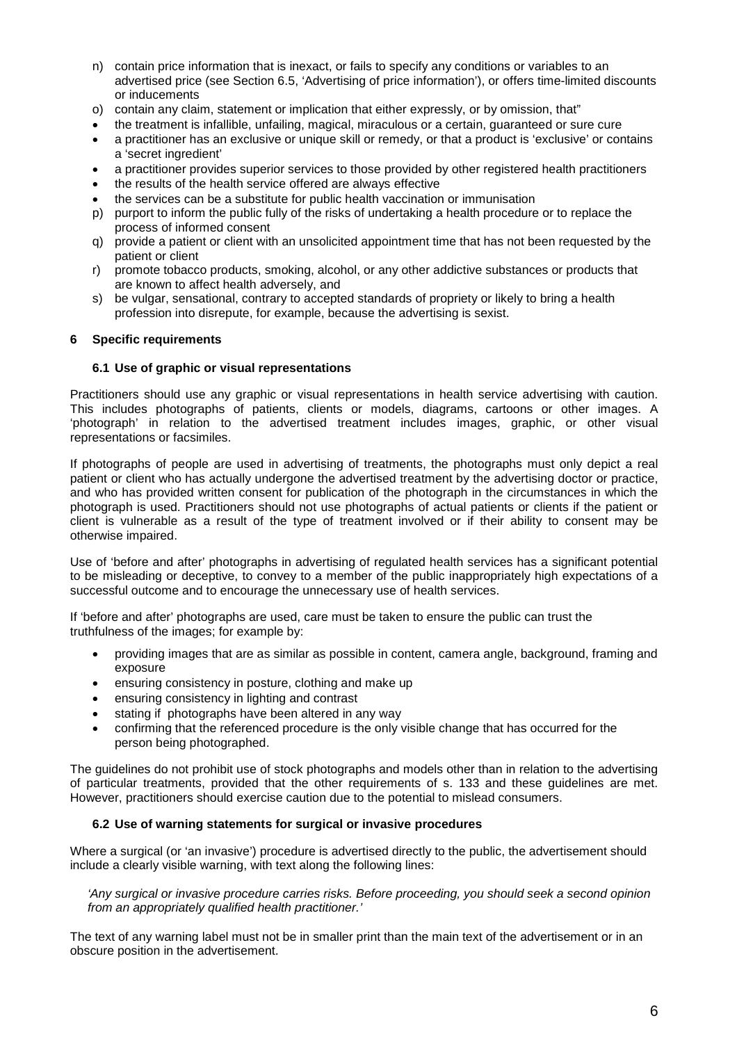- n) contain price information that is inexact, or fails to specify any conditions or variables to an advertised price (see Section 6.5, 'Advertising of price information'), or offers time-limited discounts or inducements
- o) contain any claim, statement or implication that either expressly, or by omission, that"
- the treatment is infallible, unfailing, magical, miraculous or a certain, guaranteed or sure cure
- a practitioner has an exclusive or unique skill or remedy, or that a product is 'exclusive' or contains a 'secret ingredient'
- a practitioner provides superior services to those provided by other registered health practitioners
- the results of the health service offered are always effective
- the services can be a substitute for public health vaccination or immunisation
- p) purport to inform the public fully of the risks of undertaking a health procedure or to replace the process of informed consent
- q) provide a patient or client with an unsolicited appointment time that has not been requested by the patient or client
- r) promote tobacco products, smoking, alcohol, or any other addictive substances or products that are known to affect health adversely, and
- s) be vulgar, sensational, contrary to accepted standards of propriety or likely to bring a health profession into disrepute, for example, because the advertising is sexist.

#### **6 Specific requirements**

#### **6.1 Use of graphic or visual representations**

Practitioners should use any graphic or visual representations in health service advertising with caution. This includes photographs of patients, clients or models, diagrams, cartoons or other images. A 'photograph' in relation to the advertised treatment includes images, graphic, or other visual representations or facsimiles.

If photographs of people are used in advertising of treatments, the photographs must only depict a real patient or client who has actually undergone the advertised treatment by the advertising doctor or practice, and who has provided written consent for publication of the photograph in the circumstances in which the photograph is used. Practitioners should not use photographs of actual patients or clients if the patient or client is vulnerable as a result of the type of treatment involved or if their ability to consent may be otherwise impaired.

Use of 'before and after' photographs in advertising of regulated health services has a significant potential to be misleading or deceptive, to convey to a member of the public inappropriately high expectations of a successful outcome and to encourage the unnecessary use of health services.

If 'before and after' photographs are used, care must be taken to ensure the public can trust the truthfulness of the images; for example by:

- providing images that are as similar as possible in content, camera angle, background, framing and exposure
- ensuring consistency in posture, clothing and make up
- ensuring consistency in lighting and contrast
- stating if photographs have been altered in any way
- confirming that the referenced procedure is the only visible change that has occurred for the person being photographed.

The guidelines do not prohibit use of stock photographs and models other than in relation to the advertising of particular treatments, provided that the other requirements of s. 133 and these guidelines are met. However, practitioners should exercise caution due to the potential to mislead consumers.

#### **6.2 Use of warning statements for surgical or invasive procedures**

Where a surgical (or 'an invasive') procedure is advertised directly to the public, the advertisement should include a clearly visible warning, with text along the following lines:

*'Any surgical or invasive procedure carries risks. Before proceeding, you should seek a second opinion from an appropriately qualified health practitioner.'*

The text of any warning label must not be in smaller print than the main text of the advertisement or in an obscure position in the advertisement.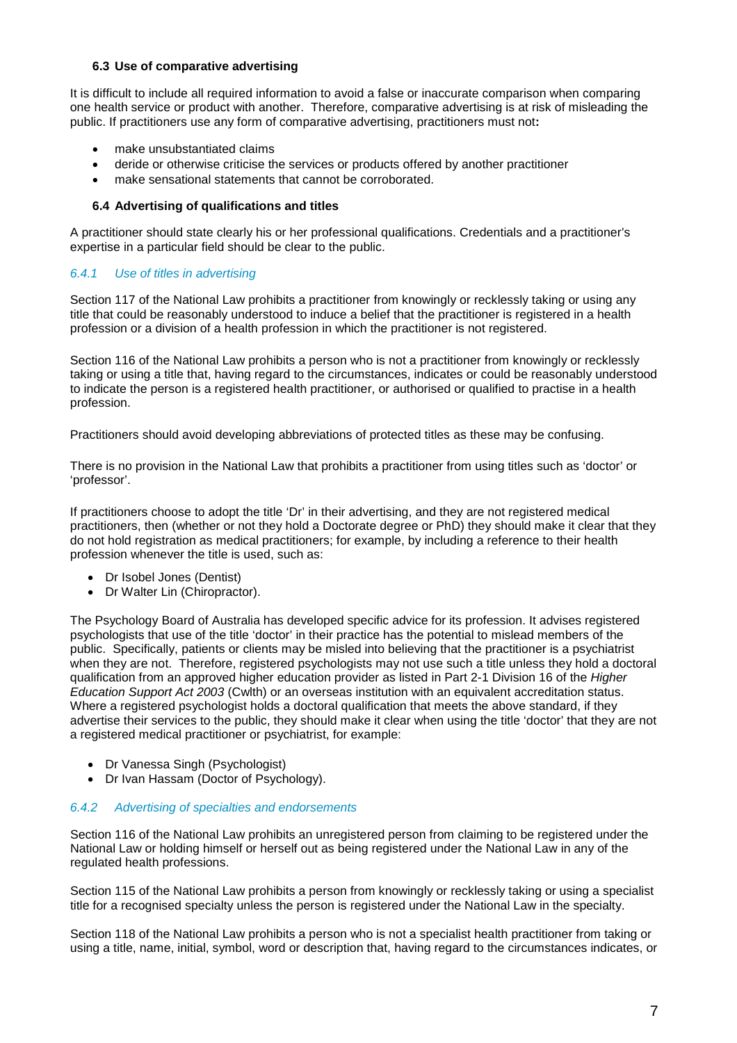#### **6.3 Use of comparative advertising**

It is difficult to include all required information to avoid a false or inaccurate comparison when comparing one health service or product with another. Therefore, comparative advertising is at risk of misleading the public. If practitioners use any form of comparative advertising, practitioners must not**:**

- make unsubstantiated claims
- deride or otherwise criticise the services or products offered by another practitioner
- make sensational statements that cannot be corroborated.

# **6.4 Advertising of qualifications and titles**

A practitioner should state clearly his or her professional qualifications. Credentials and a practitioner's expertise in a particular field should be clear to the public.

# *6.4.1 Use of titles in advertising*

Section 117 of the National Law prohibits a practitioner from knowingly or recklessly taking or using any title that could be reasonably understood to induce a belief that the practitioner is registered in a health profession or a division of a health profession in which the practitioner is not registered.

Section 116 of the National Law prohibits a person who is not a practitioner from knowingly or recklessly taking or using a title that, having regard to the circumstances, indicates or could be reasonably understood to indicate the person is a registered health practitioner, or authorised or qualified to practise in a health profession.

Practitioners should avoid developing abbreviations of protected titles as these may be confusing.

There is no provision in the National Law that prohibits a practitioner from using titles such as 'doctor' or 'professor'.

If practitioners choose to adopt the title 'Dr' in their advertising, and they are not registered medical practitioners, then (whether or not they hold a Doctorate degree or PhD) they should make it clear that they do not hold registration as medical practitioners; for example, by including a reference to their health profession whenever the title is used, such as:

- Dr Isobel Jones (Dentist)
- Dr Walter Lin (Chiropractor).

The Psychology Board of Australia has developed specific advice for its profession. It advises registered psychologists that use of the title 'doctor' in their practice has the potential to mislead members of the public. Specifically, patients or clients may be misled into believing that the practitioner is a psychiatrist when they are not. Therefore, registered psychologists may not use such a title unless they hold a doctoral qualification from an approved higher education provider as listed in Part 2-1 Division 16 of the *Higher Education Support Act 2003* (Cwlth) or an overseas institution with an equivalent accreditation status. Where a registered psychologist holds a doctoral qualification that meets the above standard, if they advertise their services to the public, they should make it clear when using the title 'doctor' that they are not a registered medical practitioner or psychiatrist, for example:

- Dr Vanessa Singh (Psychologist)
- Dr Ivan Hassam (Doctor of Psychology).

# *6.4.2 Advertising of specialties and endorsements*

Section 116 of the National Law prohibits an unregistered person from claiming to be registered under the National Law or holding himself or herself out as being registered under the National Law in any of the regulated health professions.

Section 115 of the National Law prohibits a person from knowingly or recklessly taking or using a specialist title for a recognised specialty unless the person is registered under the National Law in the specialty.

Section 118 of the National Law prohibits a person who is not a specialist health practitioner from taking or using a title, name, initial, symbol, word or description that, having regard to the circumstances indicates, or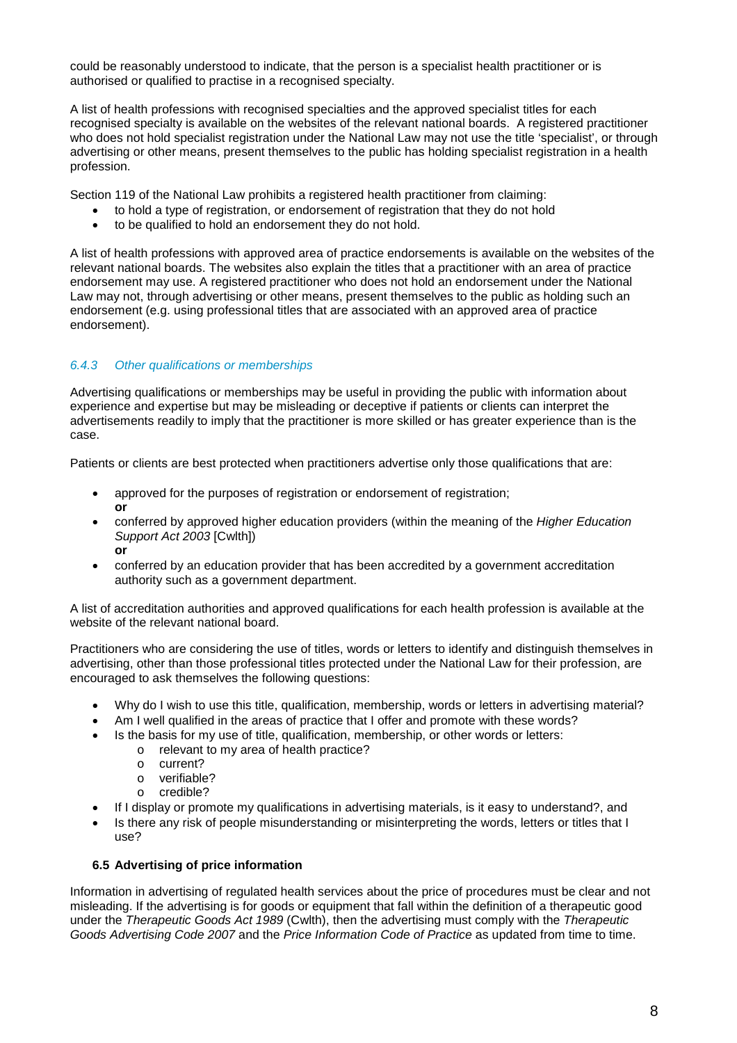could be reasonably understood to indicate, that the person is a specialist health practitioner or is authorised or qualified to practise in a recognised specialty.

A list of health professions with recognised specialties and the approved specialist titles for each recognised specialty is available on the websites of the relevant national boards. A registered practitioner who does not hold specialist registration under the National Law may not use the title 'specialist', or through advertising or other means, present themselves to the public has holding specialist registration in a health profession.

Section 119 of the National Law prohibits a registered health practitioner from claiming:

- to hold a type of registration, or endorsement of registration that they do not hold
- to be qualified to hold an endorsement they do not hold.

A list of health professions with approved area of practice endorsements is available on the websites of the relevant national boards. The websites also explain the titles that a practitioner with an area of practice endorsement may use. A registered practitioner who does not hold an endorsement under the National Law may not, through advertising or other means, present themselves to the public as holding such an endorsement (e.g. using professional titles that are associated with an approved area of practice endorsement).

# *6.4.3 Other qualifications or memberships*

Advertising qualifications or memberships may be useful in providing the public with information about experience and expertise but may be misleading or deceptive if patients or clients can interpret the advertisements readily to imply that the practitioner is more skilled or has greater experience than is the case.

Patients or clients are best protected when practitioners advertise only those qualifications that are:

- approved for the purposes of registration or endorsement of registration; **or**
- conferred by approved higher education providers (within the meaning of the *Higher Education Support Act 2003* [Cwlth]) **or**
- conferred by an education provider that has been accredited by a government accreditation authority such as a government department.

A list of accreditation authorities and approved qualifications for each health profession is available at the website of the relevant national board.

Practitioners who are considering the use of titles, words or letters to identify and distinguish themselves in advertising, other than those professional titles protected under the National Law for their profession, are encouraged to ask themselves the following questions:

- Why do I wish to use this title, qualification, membership, words or letters in advertising material?
- Am I well qualified in the areas of practice that I offer and promote with these words?
- Is the basis for my use of title, qualification, membership, or other words or letters:
	- o relevant to my area of health practice?
		- o current?
		- o verifiable?<br>o credible?
		- credible?
- If I display or promote my qualifications in advertising materials, is it easy to understand?, and
- Is there any risk of people misunderstanding or misinterpreting the words, letters or titles that I use?

#### **6.5 Advertising of price information**

Information in advertising of regulated health services about the price of procedures must be clear and not misleading. If the advertising is for goods or equipment that fall within the definition of a therapeutic good under the *Therapeutic Goods Act 1989* (Cwlth), then the advertising must comply with the *Therapeutic Goods Advertising Code 2007* and the *Price Information Code of Practice* as updated from time to time.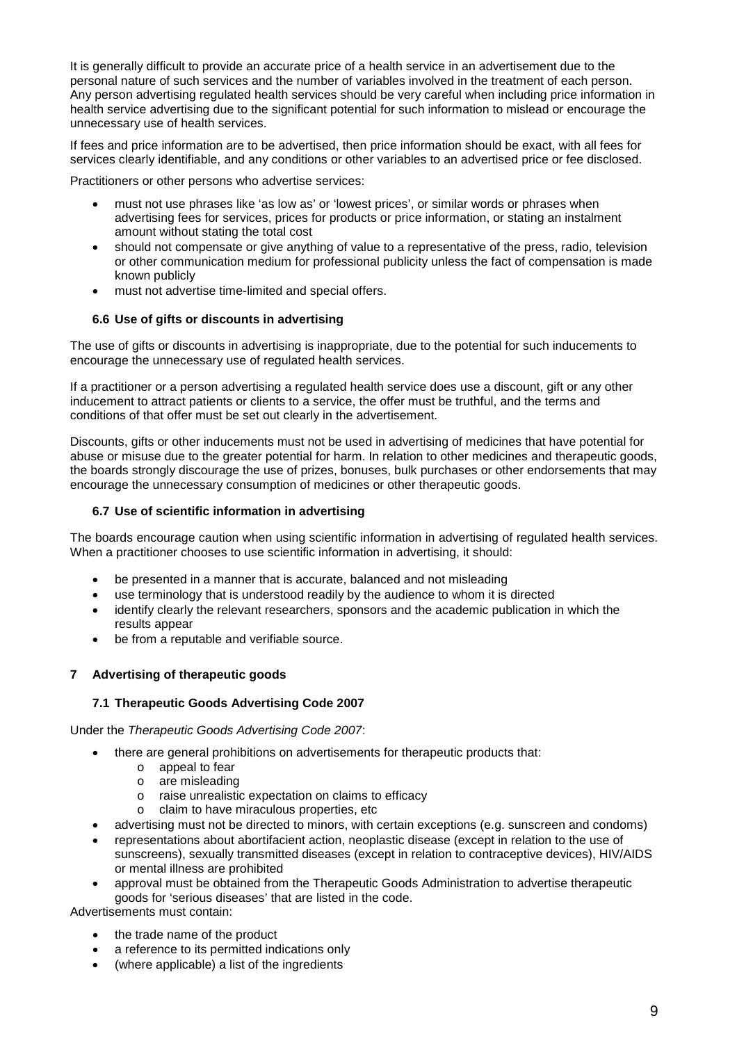It is generally difficult to provide an accurate price of a health service in an advertisement due to the personal nature of such services and the number of variables involved in the treatment of each person. Any person advertising regulated health services should be very careful when including price information in health service advertising due to the significant potential for such information to mislead or encourage the unnecessary use of health services.

If fees and price information are to be advertised, then price information should be exact, with all fees for services clearly identifiable, and any conditions or other variables to an advertised price or fee disclosed.

Practitioners or other persons who advertise services:

- must not use phrases like 'as low as' or 'lowest prices', or similar words or phrases when advertising fees for services, prices for products or price information, or stating an instalment amount without stating the total cost
- should not compensate or give anything of value to a representative of the press, radio, television or other communication medium for professional publicity unless the fact of compensation is made known publicly
- must not advertise time-limited and special offers.

# **6.6 Use of gifts or discounts in advertising**

The use of gifts or discounts in advertising is inappropriate, due to the potential for such inducements to encourage the unnecessary use of regulated health services.

If a practitioner or a person advertising a regulated health service does use a discount, gift or any other inducement to attract patients or clients to a service, the offer must be truthful, and the terms and conditions of that offer must be set out clearly in the advertisement.

Discounts, gifts or other inducements must not be used in advertising of medicines that have potential for abuse or misuse due to the greater potential for harm. In relation to other medicines and therapeutic goods, the boards strongly discourage the use of prizes, bonuses, bulk purchases or other endorsements that may encourage the unnecessary consumption of medicines or other therapeutic goods.

#### **6.7 Use of scientific information in advertising**

The boards encourage caution when using scientific information in advertising of regulated health services. When a practitioner chooses to use scientific information in advertising, it should:

- be presented in a manner that is accurate, balanced and not misleading
- use terminology that is understood readily by the audience to whom it is directed
- identify clearly the relevant researchers, sponsors and the academic publication in which the results appear
- be from a reputable and verifiable source.

#### **7 Advertising of therapeutic goods**

#### **7.1 Therapeutic Goods Advertising Code 2007**

#### Under the *Therapeutic Goods Advertising Code 2007*:

- there are general prohibitions on advertisements for therapeutic products that:
	- o appeal to fear
	- o are misleading
	- o raise unrealistic expectation on claims to efficacy
	- o claim to have miraculous properties, etc
- advertising must not be directed to minors, with certain exceptions (e.g. sunscreen and condoms)
- representations about abortifacient action, neoplastic disease (except in relation to the use of sunscreens), sexually transmitted diseases (except in relation to contraceptive devices), HIV/AIDS or mental illness are prohibited
- approval must be obtained from the Therapeutic Goods Administration to advertise therapeutic goods for 'serious diseases' that are listed in the code.

Advertisements must contain:

- the trade name of the product
- a reference to its permitted indications only
- (where applicable) a list of the ingredients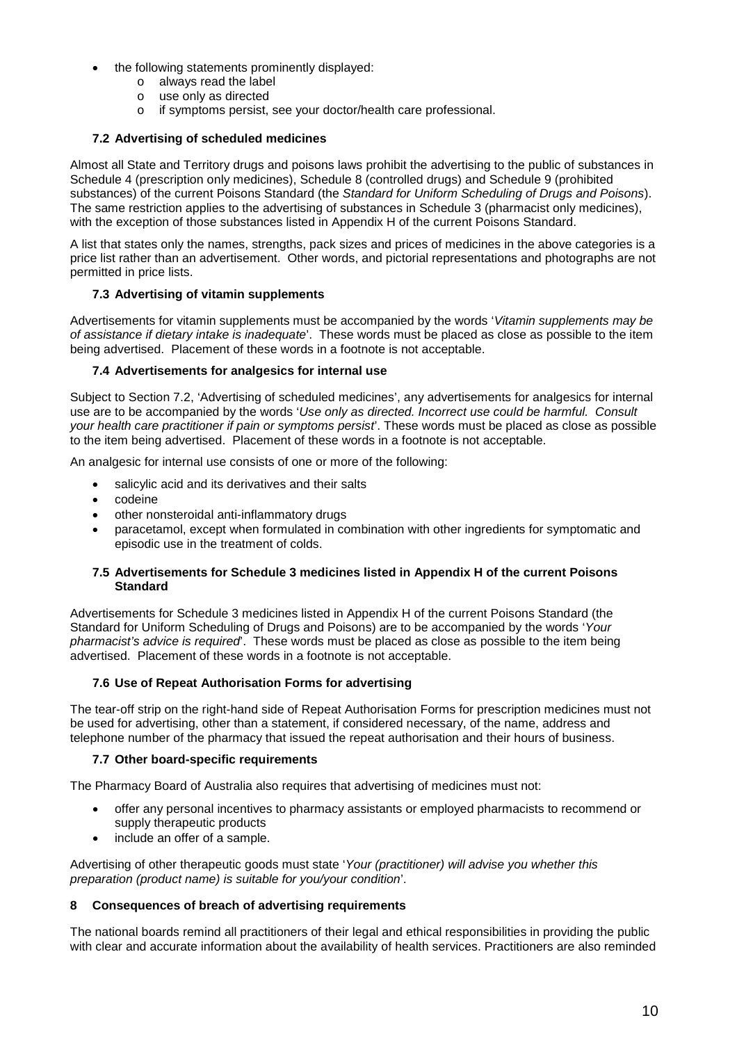- the following statements prominently displayed:
	- o always read the label
	- o use only as directed
	- o if symptoms persist, see your doctor/health care professional.

# **7.2 Advertising of scheduled medicines**

Almost all State and Territory drugs and poisons laws prohibit the advertising to the public of substances in Schedule 4 (prescription only medicines), Schedule 8 (controlled drugs) and Schedule 9 (prohibited substances) of the current Poisons Standard (the *Standard for Uniform Scheduling of Drugs and Poisons*). The same restriction applies to the advertising of substances in Schedule 3 (pharmacist only medicines), with the exception of those substances listed in Appendix H of the current Poisons Standard.

A list that states only the names, strengths, pack sizes and prices of medicines in the above categories is a price list rather than an advertisement. Other words, and pictorial representations and photographs are not permitted in price lists.

# **7.3 Advertising of vitamin supplements**

Advertisements for vitamin supplements must be accompanied by the words '*Vitamin supplements may be of assistance if dietary intake is inadequate*'. These words must be placed as close as possible to the item being advertised. Placement of these words in a footnote is not acceptable.

# **7.4 Advertisements for analgesics for internal use**

Subject to Section 7.2, 'Advertising of scheduled medicines', any advertisements for analgesics for internal use are to be accompanied by the words '*Use only as directed. Incorrect use could be harmful. Consult your health care practitioner if pain or symptoms persist*'. These words must be placed as close as possible to the item being advertised. Placement of these words in a footnote is not acceptable.

An analgesic for internal use consists of one or more of the following:

- salicylic acid and its derivatives and their salts
- codeine
- other nonsteroidal anti-inflammatory drugs
- paracetamol, except when formulated in combination with other ingredients for symptomatic and episodic use in the treatment of colds.

#### **7.5 Advertisements for Schedule 3 medicines listed in Appendix H of the current Poisons Standard**

Advertisements for Schedule 3 medicines listed in Appendix H of the current Poisons Standard (the Standard for Uniform Scheduling of Drugs and Poisons) are to be accompanied by the words '*Your pharmacist's advice is required*'. These words must be placed as close as possible to the item being advertised. Placement of these words in a footnote is not acceptable.

#### **7.6 Use of Repeat Authorisation Forms for advertising**

The tear-off strip on the right-hand side of Repeat Authorisation Forms for prescription medicines must not be used for advertising, other than a statement, if considered necessary, of the name, address and telephone number of the pharmacy that issued the repeat authorisation and their hours of business.

#### **7.7 Other board-specific requirements**

The Pharmacy Board of Australia also requires that advertising of medicines must not:

- offer any personal incentives to pharmacy assistants or employed pharmacists to recommend or supply therapeutic products
- include an offer of a sample.

Advertising of other therapeutic goods must state '*Your (practitioner) will advise you whether this preparation (product name) is suitable for you/your condition*'.

#### **8 Consequences of breach of advertising requirements**

The national boards remind all practitioners of their legal and ethical responsibilities in providing the public with clear and accurate information about the availability of health services. Practitioners are also reminded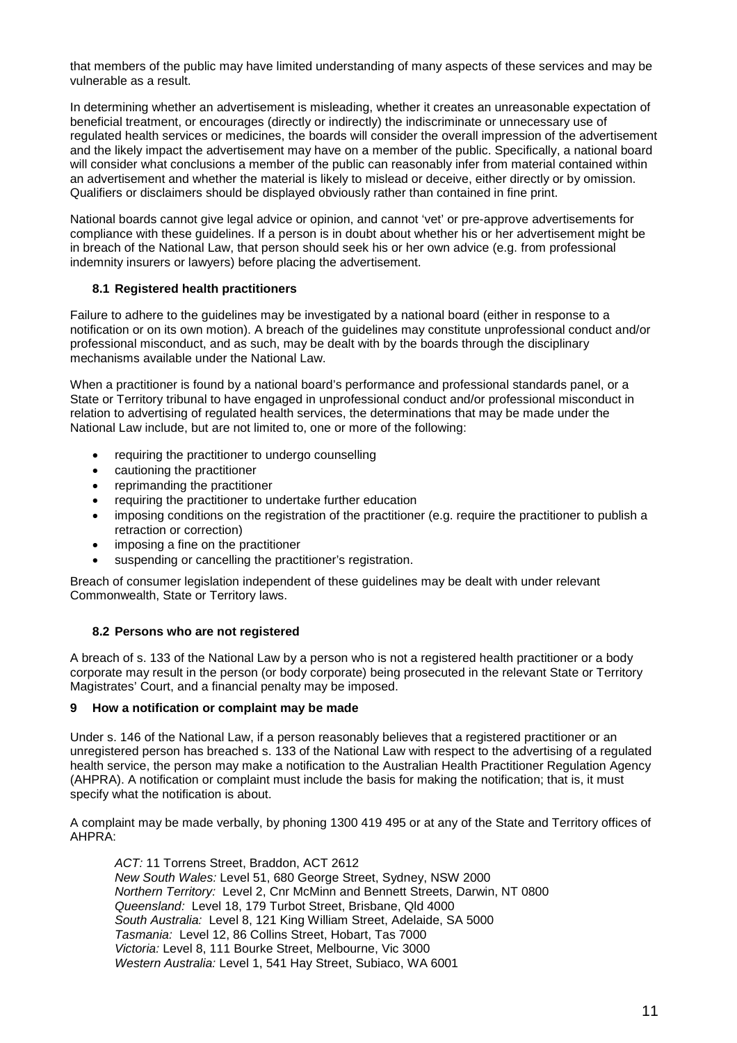that members of the public may have limited understanding of many aspects of these services and may be vulnerable as a result.

In determining whether an advertisement is misleading, whether it creates an unreasonable expectation of beneficial treatment, or encourages (directly or indirectly) the indiscriminate or unnecessary use of regulated health services or medicines, the boards will consider the overall impression of the advertisement and the likely impact the advertisement may have on a member of the public. Specifically, a national board will consider what conclusions a member of the public can reasonably infer from material contained within an advertisement and whether the material is likely to mislead or deceive, either directly or by omission. Qualifiers or disclaimers should be displayed obviously rather than contained in fine print.

National boards cannot give legal advice or opinion, and cannot 'vet' or pre-approve advertisements for compliance with these guidelines. If a person is in doubt about whether his or her advertisement might be in breach of the National Law, that person should seek his or her own advice (e.g. from professional indemnity insurers or lawyers) before placing the advertisement.

#### **8.1 Registered health practitioners**

Failure to adhere to the guidelines may be investigated by a national board (either in response to a notification or on its own motion). A breach of the guidelines may constitute unprofessional conduct and/or professional misconduct, and as such, may be dealt with by the boards through the disciplinary mechanisms available under the National Law.

When a practitioner is found by a national board's performance and professional standards panel, or a State or Territory tribunal to have engaged in unprofessional conduct and/or professional misconduct in relation to advertising of regulated health services, the determinations that may be made under the National Law include, but are not limited to, one or more of the following:

- requiring the practitioner to undergo counselling
- cautioning the practitioner
- reprimanding the practitioner
- requiring the practitioner to undertake further education
- imposing conditions on the registration of the practitioner (e.g. require the practitioner to publish a retraction or correction)
- imposing a fine on the practitioner
- suspending or cancelling the practitioner's registration.

Breach of consumer legislation independent of these guidelines may be dealt with under relevant Commonwealth, State or Territory laws.

#### **8.2 Persons who are not registered**

A breach of s. 133 of the National Law by a person who is not a registered health practitioner or a body corporate may result in the person (or body corporate) being prosecuted in the relevant State or Territory Magistrates' Court, and a financial penalty may be imposed.

#### **9 How a notification or complaint may be made**

Under s. 146 of the National Law, if a person reasonably believes that a registered practitioner or an unregistered person has breached s. 133 of the National Law with respect to the advertising of a regulated health service, the person may make a notification to the Australian Health Practitioner Regulation Agency (AHPRA). A notification or complaint must include the basis for making the notification; that is, it must specify what the notification is about.

A complaint may be made verbally, by phoning 1300 419 495 or at any of the State and Territory offices of AHPRA:

*ACT:* 11 Torrens Street, Braddon, ACT 2612 *New South Wales:* Level 51, 680 George Street, Sydney, NSW 2000 *Northern Territory:* Level 2, Cnr McMinn and Bennett Streets, Darwin, NT 0800 *Queensland:* Level 18, 179 Turbot Street, Brisbane, Qld 4000 *South Australia:* Level 8, 121 King William Street, Adelaide, SA 5000 *Tasmania:* Level 12, 86 Collins Street, Hobart, Tas 7000 *Victoria:* Level 8, 111 Bourke Street, Melbourne, Vic 3000 *Western Australia:* Level 1, 541 Hay Street, Subiaco, WA 6001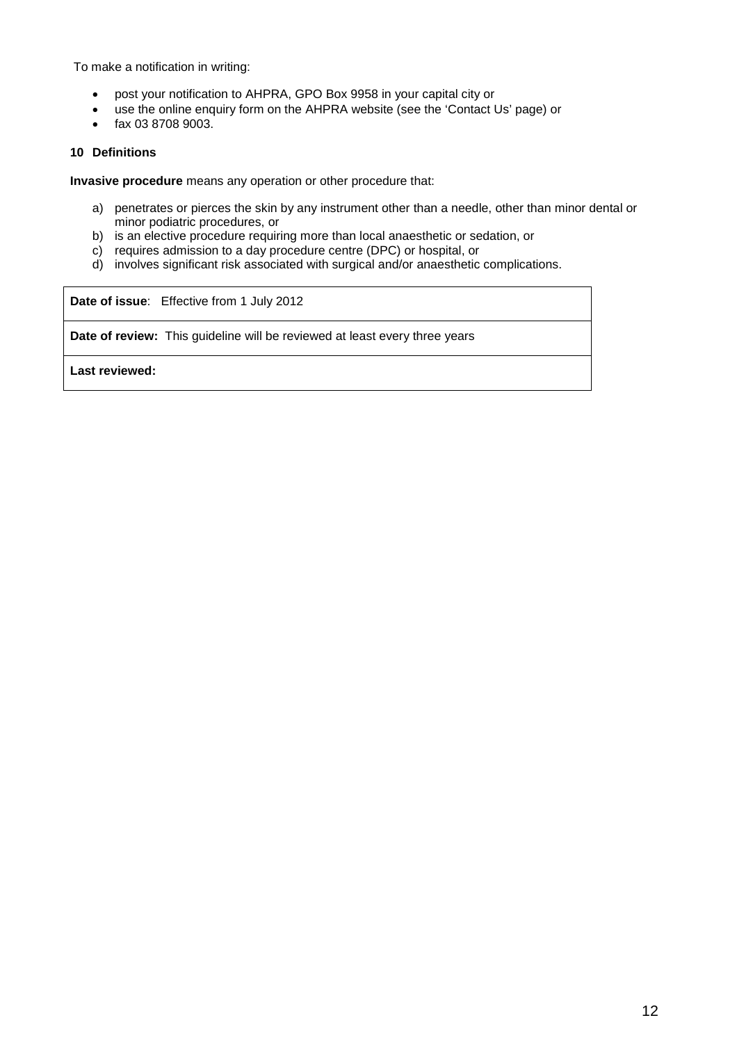To make a notification in writing:

- post your notification to AHPRA, GPO Box 9958 in your capital city or
- use the online enquiry form on the AHPRA website (see the 'Contact Us' page) or
- fax 03 8708 9003.

#### **10 Definitions**

**Invasive procedure** means any operation or other procedure that:

- a) penetrates or pierces the skin by any instrument other than a needle, other than minor dental or minor podiatric procedures, or
- b) is an elective procedure requiring more than local anaesthetic or sedation, or
- c) requires admission to a day procedure centre (DPC) or hospital, or
- d) involves significant risk associated with surgical and/or anaesthetic complications.

**Date of issue**: Effective from 1 July 2012

**Date of review:** This guideline will be reviewed at least every three years

**Last reviewed:**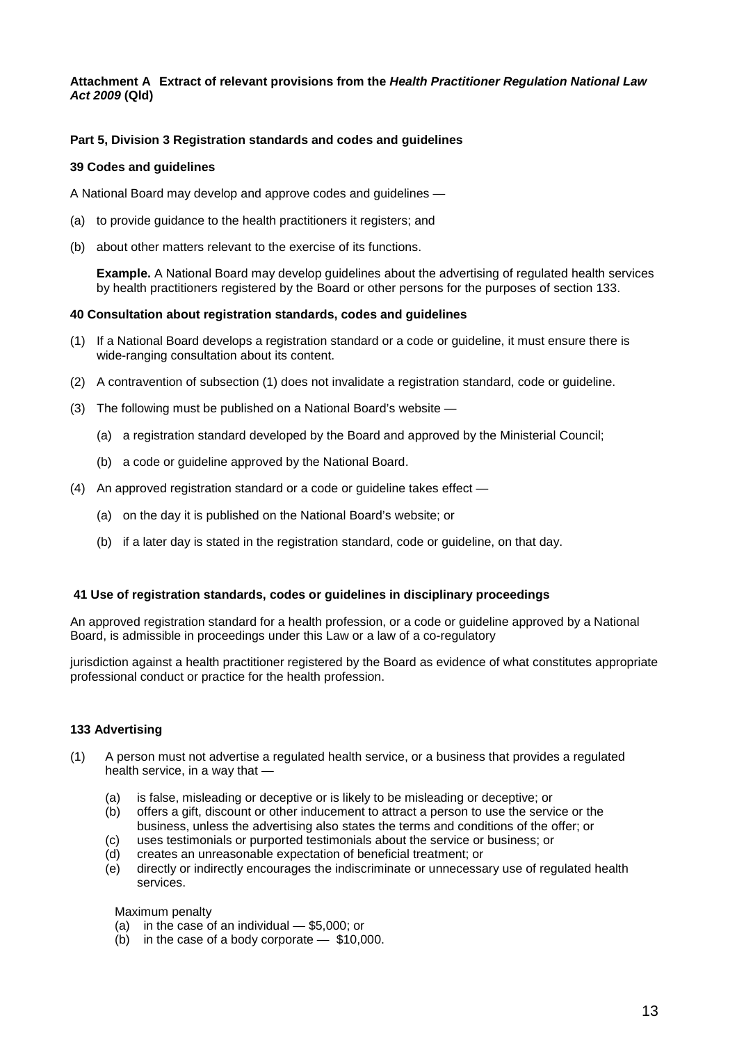#### **Attachment A Extract of relevant provisions from the** *Health Practitioner Regulation National Law Act 2009* **(Qld)**

#### **Part 5, Division 3 Registration standards and codes and guidelines**

#### **39 Codes and guidelines**

A National Board may develop and approve codes and guidelines —

- (a) to provide guidance to the health practitioners it registers; and
- (b) about other matters relevant to the exercise of its functions.

**Example.** A National Board may develop guidelines about the advertising of regulated health services by health practitioners registered by the Board or other persons for the purposes of section 133.

#### **40 Consultation about registration standards, codes and guidelines**

- (1) If a National Board develops a registration standard or a code or guideline, it must ensure there is wide-ranging consultation about its content.
- (2) A contravention of subsection (1) does not invalidate a registration standard, code or guideline.
- (3) The following must be published on a National Board's website
	- (a) a registration standard developed by the Board and approved by the Ministerial Council;
	- (b) a code or guideline approved by the National Board.
- (4) An approved registration standard or a code or guideline takes effect
	- (a) on the day it is published on the National Board's website; or
	- (b) if a later day is stated in the registration standard, code or guideline, on that day.

#### **41 Use of registration standards, codes or guidelines in disciplinary proceedings**

An approved registration standard for a health profession, or a code or guideline approved by a National Board, is admissible in proceedings under this Law or a law of a co-regulatory

jurisdiction against a health practitioner registered by the Board as evidence of what constitutes appropriate professional conduct or practice for the health profession.

#### **133 Advertising**

- (1) A person must not advertise a regulated health service, or a business that provides a regulated health service, in a way that —
	- (a) is false, misleading or deceptive or is likely to be misleading or deceptive; or
	- (b) offers a gift, discount or other inducement to attract a person to use the service or the business, unless the advertising also states the terms and conditions of the offer; or
	- (c) uses testimonials or purported testimonials about the service or business; or
	- (d) creates an unreasonable expectation of beneficial treatment; or
	- (e) directly or indirectly encourages the indiscriminate or unnecessary use of regulated health services.

#### Maximum penalty

- (a) in the case of an individual \$5,000; or
- (b) in the case of a body corporate \$10,000.